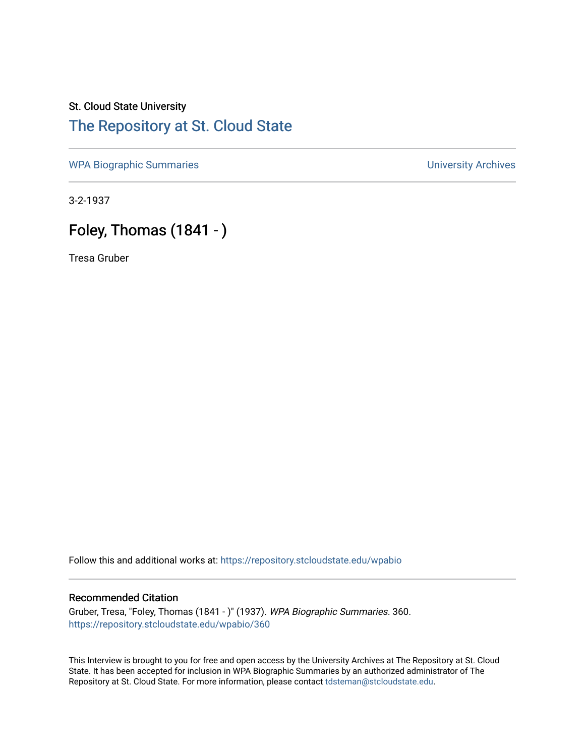## St. Cloud State University [The Repository at St. Cloud State](https://repository.stcloudstate.edu/)

[WPA Biographic Summaries](https://repository.stcloudstate.edu/wpabio) **WPA Biographic Summaries University Archives** 

3-2-1937

## Foley, Thomas (1841 - )

Tresa Gruber

Follow this and additional works at: [https://repository.stcloudstate.edu/wpabio](https://repository.stcloudstate.edu/wpabio?utm_source=repository.stcloudstate.edu%2Fwpabio%2F360&utm_medium=PDF&utm_campaign=PDFCoverPages) 

## Recommended Citation

Gruber, Tresa, "Foley, Thomas (1841 - )" (1937). WPA Biographic Summaries. 360. [https://repository.stcloudstate.edu/wpabio/360](https://repository.stcloudstate.edu/wpabio/360?utm_source=repository.stcloudstate.edu%2Fwpabio%2F360&utm_medium=PDF&utm_campaign=PDFCoverPages) 

This Interview is brought to you for free and open access by the University Archives at The Repository at St. Cloud State. It has been accepted for inclusion in WPA Biographic Summaries by an authorized administrator of The Repository at St. Cloud State. For more information, please contact [tdsteman@stcloudstate.edu.](mailto:tdsteman@stcloudstate.edu)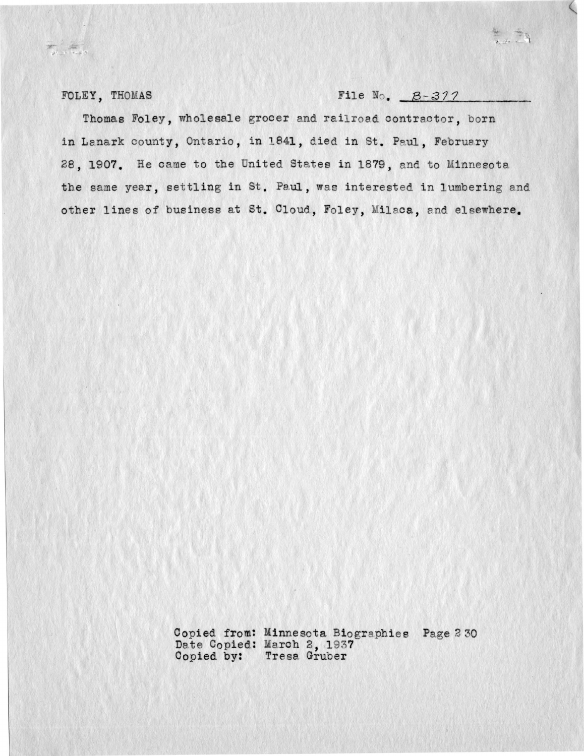FOLEY, THOMAS

 $\begin{array}{c}\n\mathcal{B}^{\text{max}}_{\text{max}} & \mathcal{B}^{\text{max}}_{\text{max}}\\
\mathcal{B}^{\text{max}}_{\text{max}} & \mathcal{B}^{\text{max}}_{\text{max}}\end{array}$ 

File  $\mathbb{N}_0$ .  $B-377$ 

Thomas Foley, wholesale grocer and railroad contractor, born in Lanark county, Ontario, in 1841, died in St. Paul. February 28, 1907. He came to the United States in 1879, and to Minnesota the same year, settling in St. Paul, was interested in lumbering and other lines of business at St. Cloud, Foley, Milaca, and elsewhere.

> Copied from: Minnesota Biographies Page 230<br>Date Copied: March 2, 1937 Copied by: Tresa Gruber